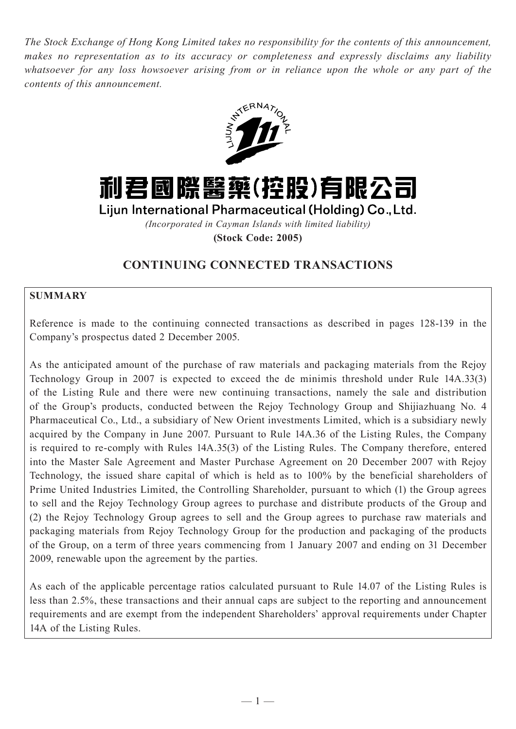*The Stock Exchange of Hong Kong Limited takes no responsibility for the contents of this announcement, makes no representation as to its accuracy or completeness and expressly disclaims any liability whatsoever for any loss howsoever arising from or in reliance upon the whole or any part of the contents of this announcement.*





Lijun International Pharmaceutical (Holding) Co., Ltd.

*(Incorporated in Cayman Islands with limited liability)*

**(Stock Code: 2005)**

# **CONTINUING CONNECTED TRANSACTIONS**

## **SUMMARY**

Reference is made to the continuing connected transactions as described in pages 128-139 in the Company's prospectus dated 2 December 2005.

As the anticipated amount of the purchase of raw materials and packaging materials from the Rejoy Technology Group in 2007 is expected to exceed the de minimis threshold under Rule 14A.33(3) of the Listing Rule and there were new continuing transactions, namely the sale and distribution of the Group's products, conducted between the Rejoy Technology Group and Shijiazhuang No. 4 Pharmaceutical Co., Ltd., a subsidiary of New Orient investments Limited, which is a subsidiary newly acquired by the Company in June 2007. Pursuant to Rule 14A.36 of the Listing Rules, the Company is required to re-comply with Rules 14A.35(3) of the Listing Rules. The Company therefore, entered into the Master Sale Agreement and Master Purchase Agreement on 20 December 2007 with Rejoy Technology, the issued share capital of which is held as to 100% by the beneficial shareholders of Prime United Industries Limited, the Controlling Shareholder, pursuant to which (1) the Group agrees to sell and the Rejoy Technology Group agrees to purchase and distribute products of the Group and (2) the Rejoy Technology Group agrees to sell and the Group agrees to purchase raw materials and packaging materials from Rejoy Technology Group for the production and packaging of the products of the Group, on a term of three years commencing from 1 January 2007 and ending on 31 December 2009, renewable upon the agreement by the parties.

As each of the applicable percentage ratios calculated pursuant to Rule 14.07 of the Listing Rules is less than 2.5%, these transactions and their annual caps are subject to the reporting and announcement requirements and are exempt from the independent Shareholders' approval requirements under Chapter 14A of the Listing Rules.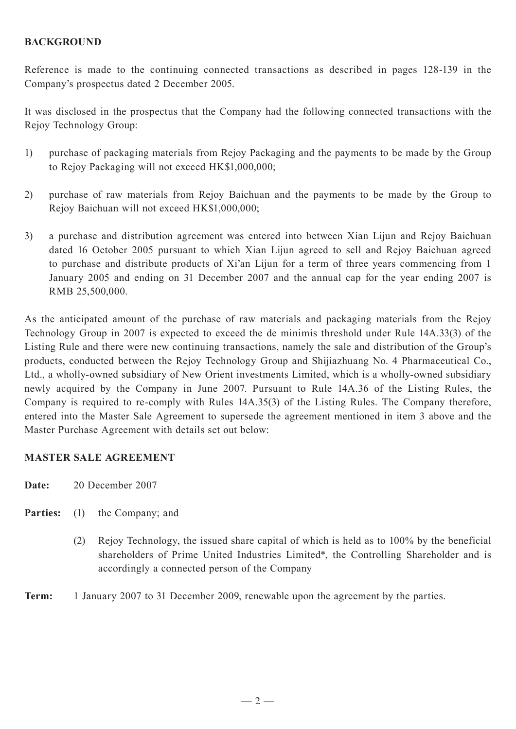# **BACKGROUND**

Reference is made to the continuing connected transactions as described in pages 128-139 in the Company's prospectus dated 2 December 2005.

It was disclosed in the prospectus that the Company had the following connected transactions with the Rejoy Technology Group:

- 1) purchase of packaging materials from Rejoy Packaging and the payments to be made by the Group to Rejoy Packaging will not exceed HK\$1,000,000;
- 2) purchase of raw materials from Rejoy Baichuan and the payments to be made by the Group to Rejoy Baichuan will not exceed HK\$1,000,000;
- 3) a purchase and distribution agreement was entered into between Xian Lijun and Rejoy Baichuan dated 16 October 2005 pursuant to which Xian Lijun agreed to sell and Rejoy Baichuan agreed to purchase and distribute products of Xi'an Lijun for a term of three years commencing from 1 January 2005 and ending on 31 December 2007 and the annual cap for the year ending 2007 is RMB 25,500,000.

As the anticipated amount of the purchase of raw materials and packaging materials from the Rejoy Technology Group in 2007 is expected to exceed the de minimis threshold under Rule 14A.33(3) of the Listing Rule and there were new continuing transactions, namely the sale and distribution of the Group's products, conducted between the Rejoy Technology Group and Shijiazhuang No. 4 Pharmaceutical Co., Ltd., a wholly-owned subsidiary of New Orient investments Limited, which is a wholly-owned subsidiary newly acquired by the Company in June 2007. Pursuant to Rule 14A.36 of the Listing Rules, the Company is required to re-comply with Rules 14A.35(3) of the Listing Rules. The Company therefore, entered into the Master Sale Agreement to supersede the agreement mentioned in item 3 above and the Master Purchase Agreement with details set out below:

#### **MASTER SALE AGREEMENT**

**Date:** 20 December 2007

- **Parties:** (1) the Company; and
	- (2) Rejoy Technology, the issued share capital of which is held as to 100% by the beneficial shareholders of Prime United Industries Limited\*, the Controlling Shareholder and is accordingly a connected person of the Company

**Term:** 1 January 2007 to 31 December 2009, renewable upon the agreement by the parties.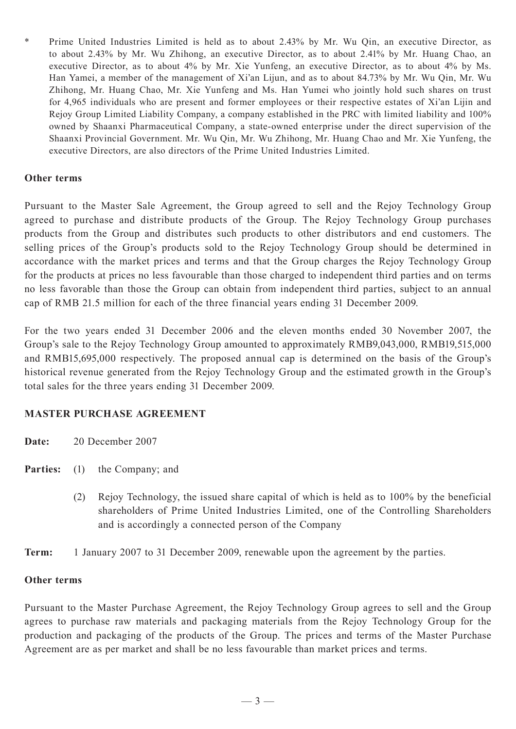\* Prime United Industries Limited is held as to about 2.43% by Mr. Wu Qin, an executive Director, as to about 2.43% by Mr. Wu Zhihong, an executive Director, as to about 2.41% by Mr. Huang Chao, an executive Director, as to about 4% by Mr. Xie Yunfeng, an executive Director, as to about 4% by Ms. Han Yamei, a member of the management of Xi'an Lijun, and as to about 84.73% by Mr. Wu Qin, Mr. Wu Zhihong, Mr. Huang Chao, Mr. Xie Yunfeng and Ms. Han Yumei who jointly hold such shares on trust for 4,965 individuals who are present and former employees or their respective estates of Xi'an Lijin and Rejoy Group Limited Liability Company, a company established in the PRC with limited liability and 100% owned by Shaanxi Pharmaceutical Company, a state-owned enterprise under the direct supervision of the Shaanxi Provincial Government. Mr. Wu Qin, Mr. Wu Zhihong, Mr. Huang Chao and Mr. Xie Yunfeng, the executive Directors, are also directors of the Prime United Industries Limited.

#### **Other terms**

Pursuant to the Master Sale Agreement, the Group agreed to sell and the Rejoy Technology Group agreed to purchase and distribute products of the Group. The Rejoy Technology Group purchases products from the Group and distributes such products to other distributors and end customers. The selling prices of the Group's products sold to the Rejoy Technology Group should be determined in accordance with the market prices and terms and that the Group charges the Rejoy Technology Group for the products at prices no less favourable than those charged to independent third parties and on terms no less favorable than those the Group can obtain from independent third parties, subject to an annual cap of RMB 21.5 million for each of the three financial years ending 31 December 2009.

For the two years ended 31 December 2006 and the eleven months ended 30 November 2007, the Group's sale to the Rejoy Technology Group amounted to approximately RMB9,043,000, RMB19,515,000 and RMB15,695,000 respectively. The proposed annual cap is determined on the basis of the Group's historical revenue generated from the Rejoy Technology Group and the estimated growth in the Group's total sales for the three years ending 31 December 2009.

#### **MASTER PURCHASE AGREEMENT**

| Date: | 20 December 2007 |  |
|-------|------------------|--|
|       |                  |  |

- **Parties:** (1) the Company; and
	- (2) Rejoy Technology, the issued share capital of which is held as to 100% by the beneficial shareholders of Prime United Industries Limited, one of the Controlling Shareholders and is accordingly a connected person of the Company
- **Term:** 1 January 2007 to 31 December 2009, renewable upon the agreement by the parties.

#### **Other terms**

Pursuant to the Master Purchase Agreement, the Rejoy Technology Group agrees to sell and the Group agrees to purchase raw materials and packaging materials from the Rejoy Technology Group for the production and packaging of the products of the Group. The prices and terms of the Master Purchase Agreement are as per market and shall be no less favourable than market prices and terms.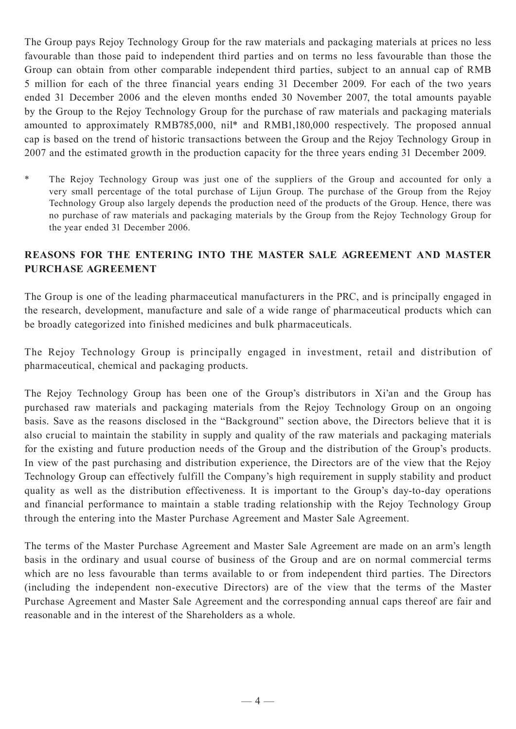The Group pays Rejoy Technology Group for the raw materials and packaging materials at prices no less favourable than those paid to independent third parties and on terms no less favourable than those the Group can obtain from other comparable independent third parties, subject to an annual cap of RMB 5 million for each of the three financial years ending 31 December 2009. For each of the two years ended 31 December 2006 and the eleven months ended 30 November 2007, the total amounts payable by the Group to the Rejoy Technology Group for the purchase of raw materials and packaging materials amounted to approximately RMB785,000, nil\* and RMB1,180,000 respectively. The proposed annual cap is based on the trend of historic transactions between the Group and the Rejoy Technology Group in 2007 and the estimated growth in the production capacity for the three years ending 31 December 2009.

\* The Rejoy Technology Group was just one of the suppliers of the Group and accounted for only a very small percentage of the total purchase of Lijun Group. The purchase of the Group from the Rejoy Technology Group also largely depends the production need of the products of the Group. Hence, there was no purchase of raw materials and packaging materials by the Group from the Rejoy Technology Group for the year ended 31 December 2006.

# **REASONS FOR THE ENTERING INTO THE MASTER SALE AGREEMENT AND MASTER PURCHASE AGREEMENT**

The Group is one of the leading pharmaceutical manufacturers in the PRC, and is principally engaged in the research, development, manufacture and sale of a wide range of pharmaceutical products which can be broadly categorized into finished medicines and bulk pharmaceuticals.

The Rejoy Technology Group is principally engaged in investment, retail and distribution of pharmaceutical, chemical and packaging products.

The Rejoy Technology Group has been one of the Group's distributors in Xi'an and the Group has purchased raw materials and packaging materials from the Rejoy Technology Group on an ongoing basis. Save as the reasons disclosed in the "Background" section above, the Directors believe that it is also crucial to maintain the stability in supply and quality of the raw materials and packaging materials for the existing and future production needs of the Group and the distribution of the Group's products. In view of the past purchasing and distribution experience, the Directors are of the view that the Rejoy Technology Group can effectively fulfill the Company's high requirement in supply stability and product quality as well as the distribution effectiveness. It is important to the Group's day-to-day operations and financial performance to maintain a stable trading relationship with the Rejoy Technology Group through the entering into the Master Purchase Agreement and Master Sale Agreement.

The terms of the Master Purchase Agreement and Master Sale Agreement are made on an arm's length basis in the ordinary and usual course of business of the Group and are on normal commercial terms which are no less favourable than terms available to or from independent third parties. The Directors (including the independent non-executive Directors) are of the view that the terms of the Master Purchase Agreement and Master Sale Agreement and the corresponding annual caps thereof are fair and reasonable and in the interest of the Shareholders as a whole.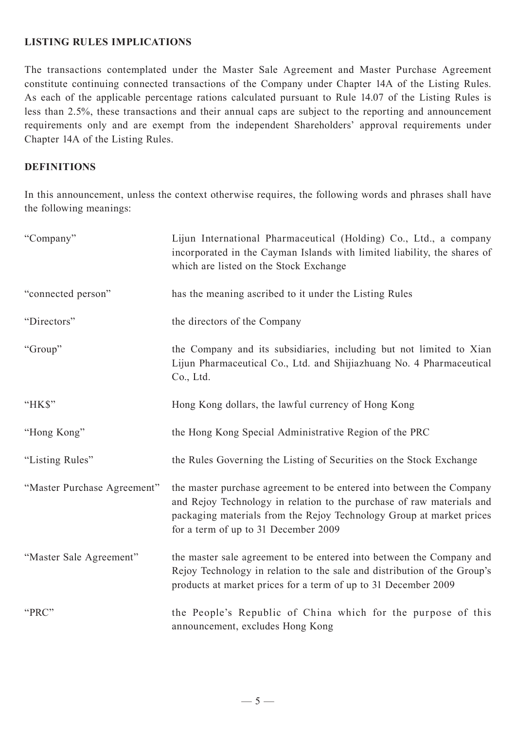## **LISTING RULES IMPLICATIONS**

The transactions contemplated under the Master Sale Agreement and Master Purchase Agreement constitute continuing connected transactions of the Company under Chapter 14A of the Listing Rules. As each of the applicable percentage rations calculated pursuant to Rule 14.07 of the Listing Rules is less than 2.5%, these transactions and their annual caps are subject to the reporting and announcement requirements only and are exempt from the independent Shareholders' approval requirements under Chapter 14A of the Listing Rules.

#### **DEFINITIONS**

In this announcement, unless the context otherwise requires, the following words and phrases shall have the following meanings:

| "Company"                   | Lijun International Pharmaceutical (Holding) Co., Ltd., a company<br>incorporated in the Cayman Islands with limited liability, the shares of<br>which are listed on the Stock Exchange                                                                       |
|-----------------------------|---------------------------------------------------------------------------------------------------------------------------------------------------------------------------------------------------------------------------------------------------------------|
| "connected person"          | has the meaning ascribed to it under the Listing Rules                                                                                                                                                                                                        |
| "Directors"                 | the directors of the Company                                                                                                                                                                                                                                  |
| "Group"                     | the Company and its subsidiaries, including but not limited to Xian<br>Lijun Pharmaceutical Co., Ltd. and Shijiazhuang No. 4 Pharmaceutical<br>Co., Ltd.                                                                                                      |
| "HK\$"                      | Hong Kong dollars, the lawful currency of Hong Kong                                                                                                                                                                                                           |
| "Hong Kong"                 | the Hong Kong Special Administrative Region of the PRC                                                                                                                                                                                                        |
| "Listing Rules"             | the Rules Governing the Listing of Securities on the Stock Exchange                                                                                                                                                                                           |
| "Master Purchase Agreement" | the master purchase agreement to be entered into between the Company<br>and Rejoy Technology in relation to the purchase of raw materials and<br>packaging materials from the Rejoy Technology Group at market prices<br>for a term of up to 31 December 2009 |
| "Master Sale Agreement"     | the master sale agreement to be entered into between the Company and<br>Rejoy Technology in relation to the sale and distribution of the Group's<br>products at market prices for a term of up to 31 December 2009                                            |
| "PRC"                       | the People's Republic of China which for the purpose of this<br>announcement, excludes Hong Kong                                                                                                                                                              |